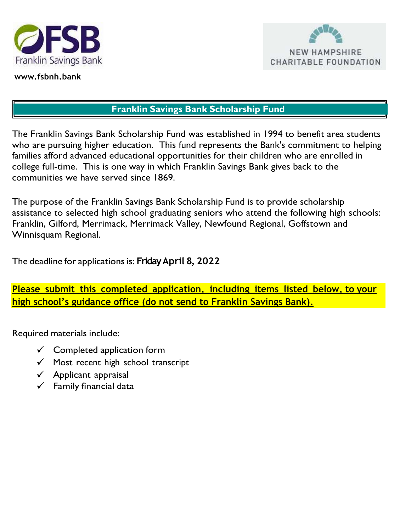

www.fsbnh.bank



### Franklin Savings Bank Scholarship Fund

The Franklin Savings Bank Scholarship Fund was established in 1994 to benefit area students who are pursuing higher education. This fund represents the Bank's commitment to helping families afford advanced educational opportunities for their children who are enrolled in college full-time. This is one way in which Franklin Savings Bank gives back to the communities we have served since 1869.

The purpose of the Franklin Savings Bank Scholarship Fund is to provide scholarship assistance to selected high school graduating seniors who attend the following high schools: Franklin, Gilford, Merrimack, Merrimack Valley, Newfound Regional, Goffstown and Winnisquam Regional.

The deadline for applications is: Friday April 8, 2022

Please submit this completed application, including items listed below, to your high school's guidance office (do not send to Franklin Savings Bank).

Required materials include:

- $\checkmark$  Completed application form
- $\checkmark$  Most recent high school transcript
- $\checkmark$  Applicant appraisal
- $\checkmark$  Family financial data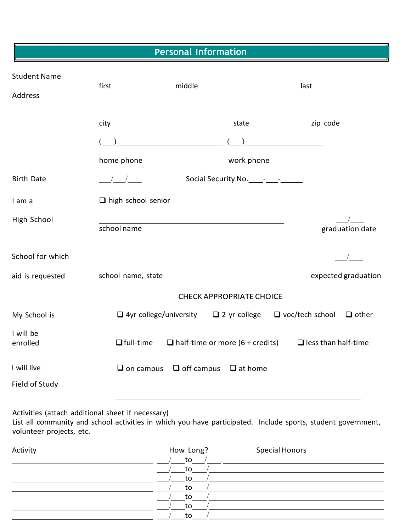Personal Information

| <b>Student Name</b>   |                                    |                                        |                                        |
|-----------------------|------------------------------------|----------------------------------------|----------------------------------------|
|                       | first                              | middle                                 | last                                   |
| Address               |                                    |                                        |                                        |
|                       | city                               | state                                  | zip code                               |
|                       |                                    |                                        |                                        |
|                       | home phone                         | work phone                             |                                        |
| <b>Birth Date</b>     | $\sqrt{2}$                         |                                        |                                        |
| I am a                | $\Box$ high school senior          |                                        |                                        |
| High School           | school name                        |                                        | graduation date                        |
| School for which      |                                    |                                        |                                        |
| aid is requested      | school name, state                 |                                        | expected graduation                    |
|                       |                                    | <b>CHECK APPROPRIATE CHOICE</b>        |                                        |
| My School is          | $\Box$ 4yr college/university      | $\Box$ 2 yr college                    | $\Box$ voc/tech school<br>$\Box$ other |
| I will be<br>enrolled | $\Box$ full-time                   | $\Box$ half-time or more (6 + credits) | $\Box$ less than half-time             |
| I will live           | $\Box$ on campus $\Box$ off campus | $\Box$ at home                         |                                        |
| Field of Study        |                                    |                                        |                                        |

Activities (attach additional sheet if necessary)

List all community and school activities in which you have participated. Include sports, student government, volunteer projects, etc.

| Activity | How Long? | <b>Special Honors</b> |
|----------|-----------|-----------------------|
|          | to        |                       |
|          | to        |                       |
|          | to        |                       |
|          | to        |                       |
|          | to        |                       |
|          | to        |                       |
|          | to        |                       |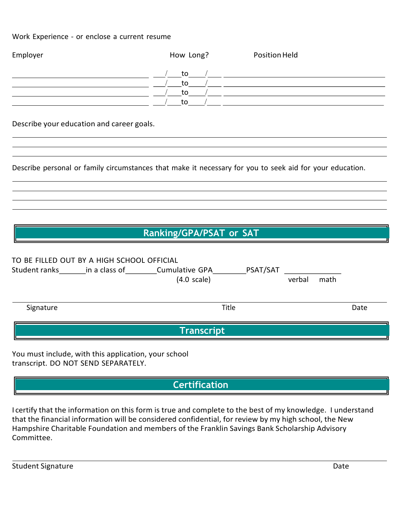#### Work Experience - or enclose a current resume

| How Long? | Position Held |  |
|-----------|---------------|--|
| to        |               |  |
| to        |               |  |
| to        |               |  |
| to        |               |  |
|           |               |  |

Describe your education and career goals.

Describe personal or family circumstances that make it necessary for you to seek aid for your education.

## Ranking/GPA/PSAT or SAT

|               | TO BE FILLED OUT BY A HIGH SCHOOL OFFICIAL |                                                |          |        |      |      |
|---------------|--------------------------------------------|------------------------------------------------|----------|--------|------|------|
| Student ranks | in a class of                              | <b>Cumulative GPA</b><br>$(4.0 \text{ scale})$ | PSAT/SAT | verbal | math |      |
| Signature     |                                            | Title                                          |          |        |      | Date |
|               |                                            | <b>Transcript</b>                              |          |        |      |      |

You must include, with this application, your school transcript. DO NOT SEND SEPARATELY.

# **Certification**

I certify that the information on this form is true and complete to the best of my knowledge. I understand that the financial information will be considered confidential, for review by my high school, the New Hampshire Charitable Foundation and members of the Franklin Savings Bank Scholarship Advisory Committee.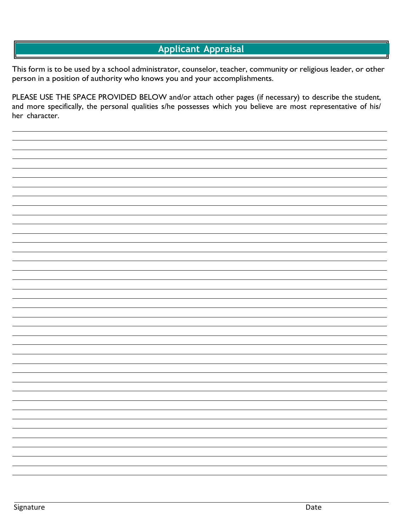### Applicant Appraisal

This form is to be used by a school administrator, counselor, teacher, community or religious leader, or other person in a position of authority who knows you and your accomplishments.

PLEASE USE THE SPACE PROVIDED BELOW and/or attach other pages (if necessary) to describe the student, and more specifically, the personal qualities s/he possesses which you believe are most representative of his/ her character.

Signature **Date Contract Contract Contract Contract Contract Contract Contract Contract Contract Contract Contract Contract Contract Contract Contract Contract Contract Contract Contract Contract Contract Contract Contra**